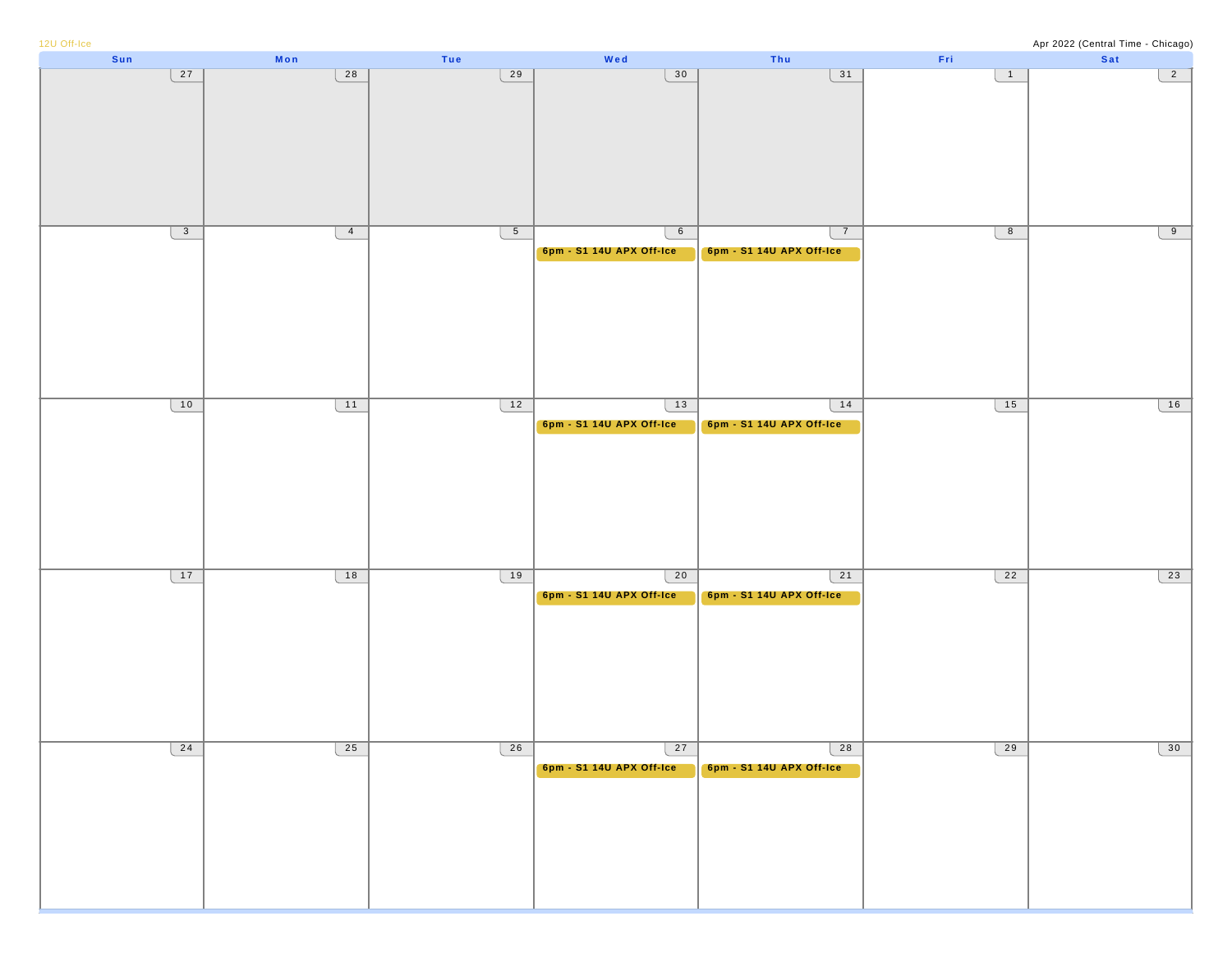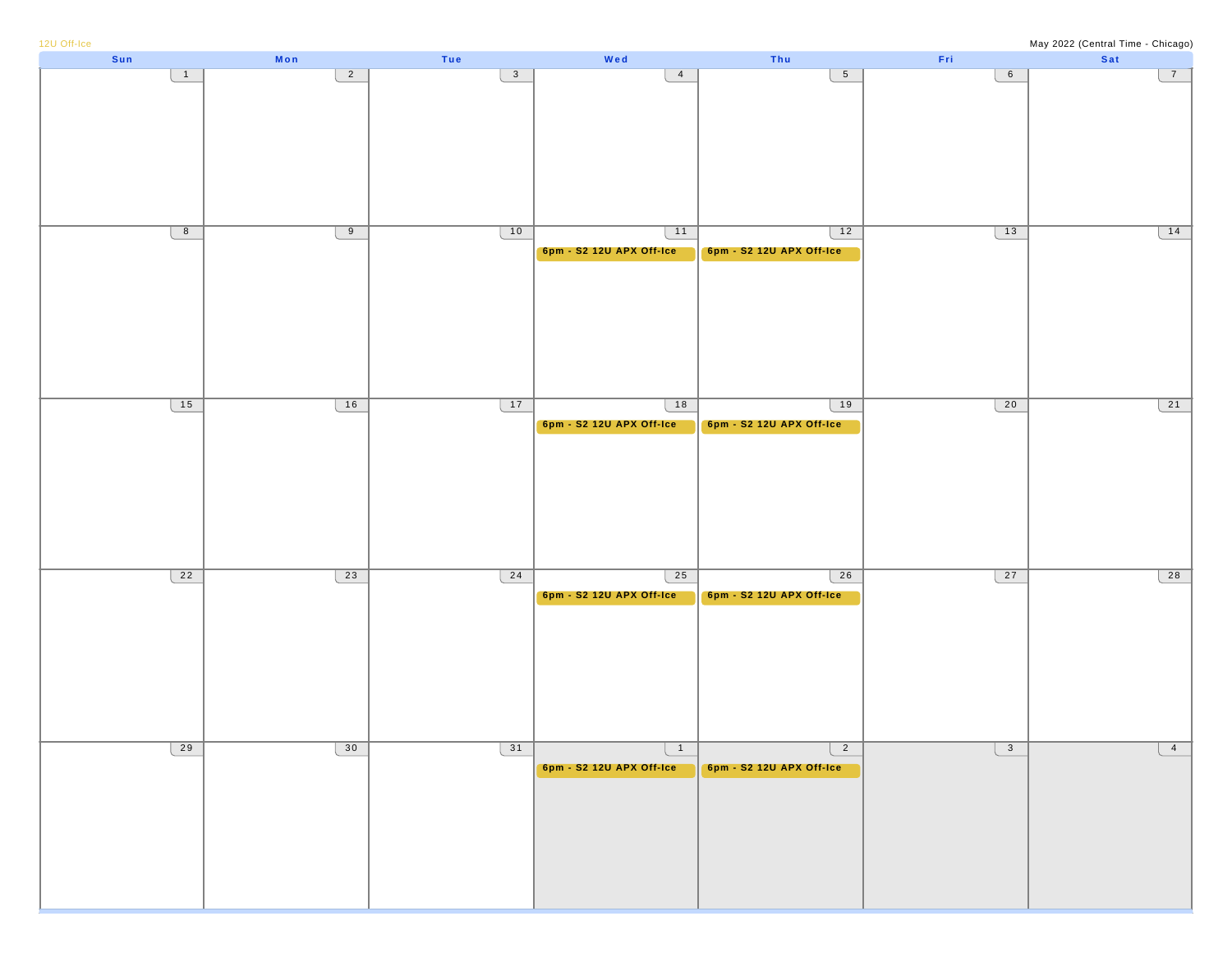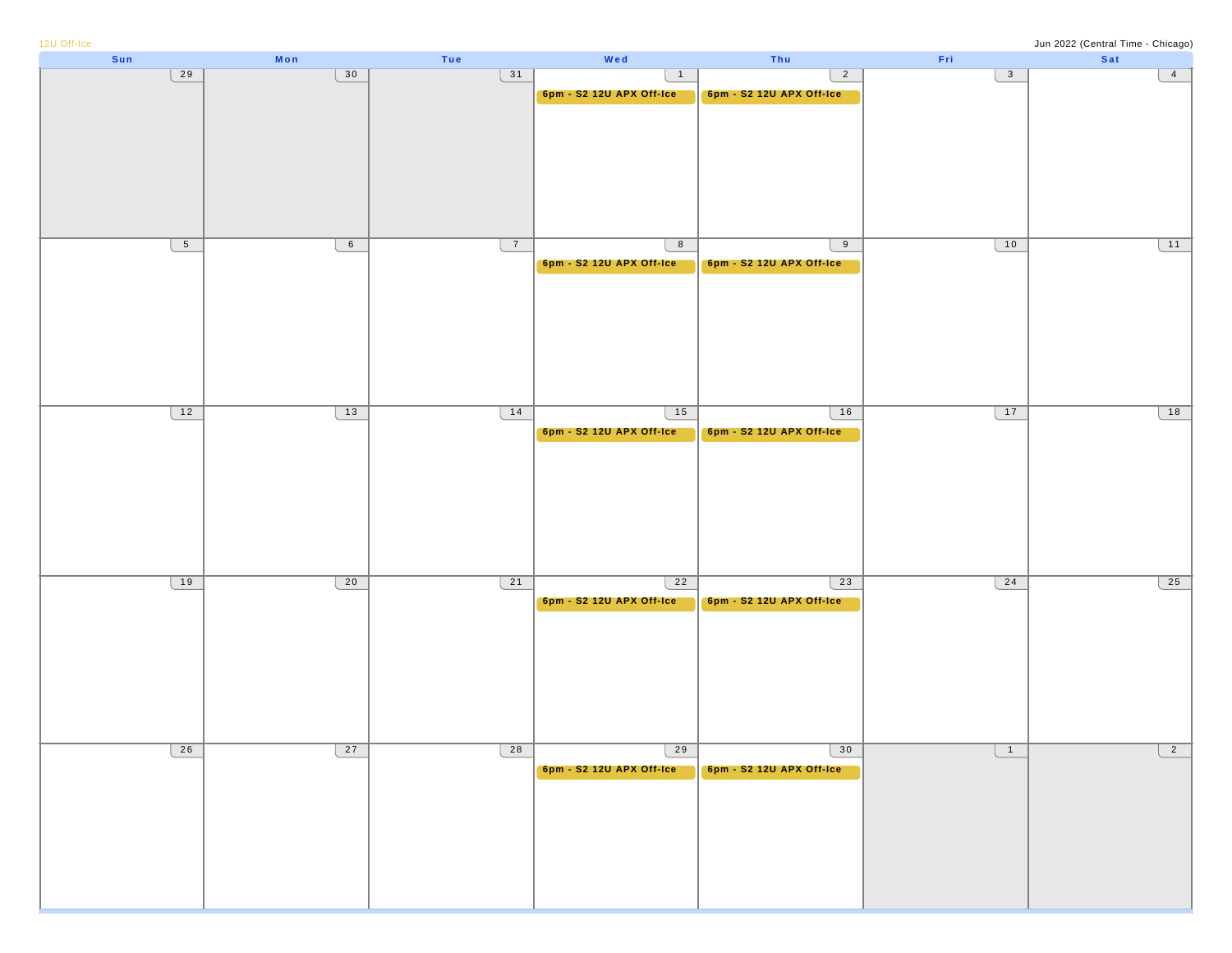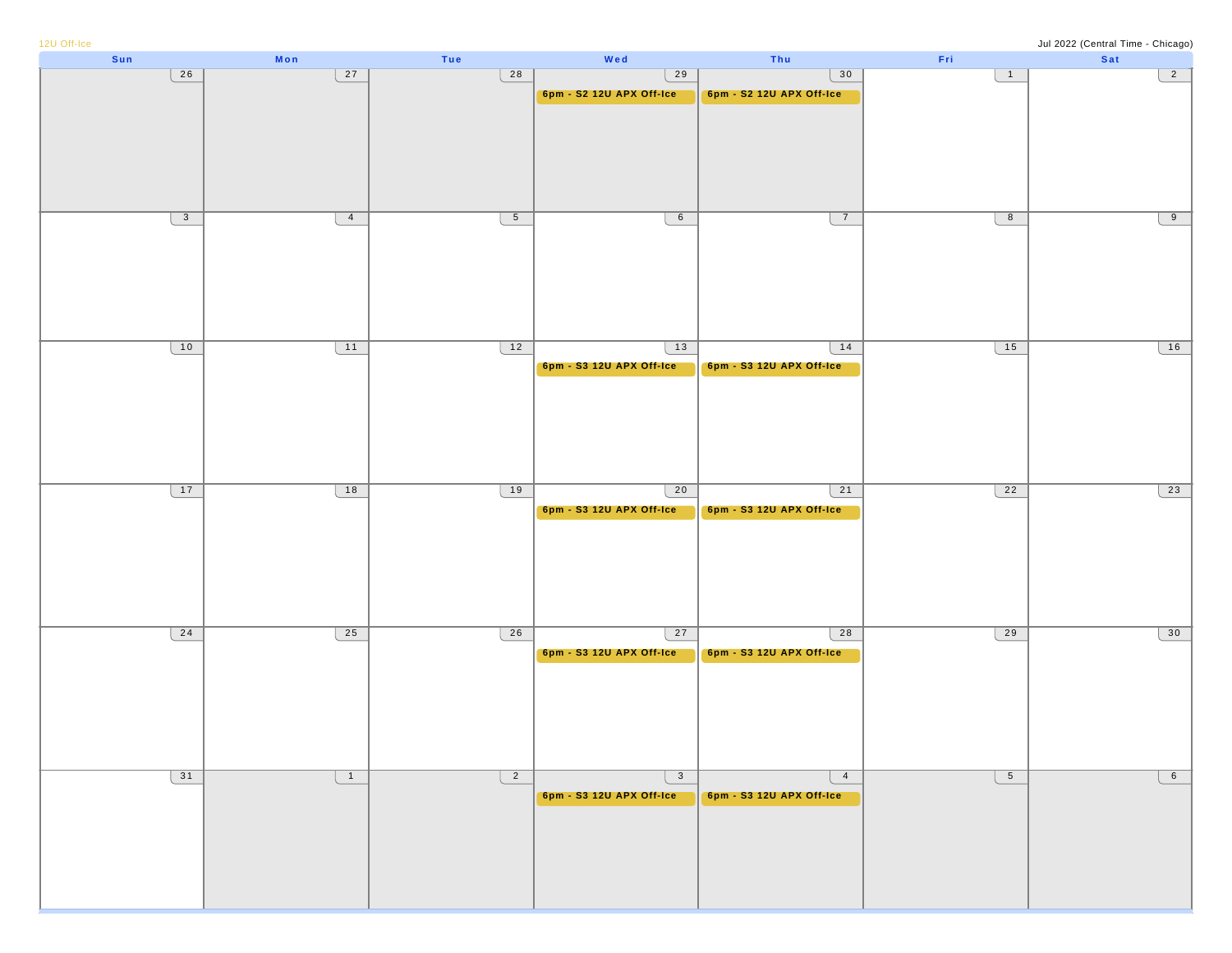